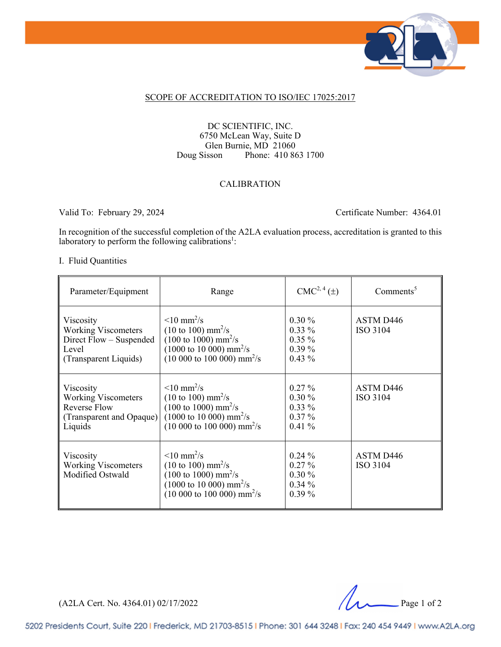

#### SCOPE OF ACCREDITATION TO ISO/IEC 17025:2017

#### DC SCIENTIFIC, INC. 6750 McLean Way, Suite D Glen Burnie, MD 21060 Doug Sisson Phone: 410 863 1700

#### CALIBRATION

Valid To: February 29, 2024 Certificate Number: 4364.01

In recognition of the successful completion of the A2LA evaluation process, accreditation is granted to this laboratory to perform the following calibrations<sup>1</sup>:

#### I. Fluid Quantities

| Parameter/Equipment                                                                                   | Range                                                                                                                                                                                                                                           | $CMC2, 4(\pm)$                                           | $Comments^5$                      |
|-------------------------------------------------------------------------------------------------------|-------------------------------------------------------------------------------------------------------------------------------------------------------------------------------------------------------------------------------------------------|----------------------------------------------------------|-----------------------------------|
| Viscosity<br><b>Working Viscometers</b><br>Direct Flow – Suspended<br>Level<br>(Transparent Liquids)  | $\leq 10 \text{ mm}^2/\text{s}$<br>$(10 \text{ to } 100) \text{ mm}^2/\text{s}$<br>$(100 \text{ to } 1000) \text{ mm}^2/\text{s}$<br>$(1000 \text{ to } 10\,000) \text{ mm}^2/\text{s}$<br>$(10 000 \text{ to } 100 000) \text{ mm}^2/\text{s}$ | $0.30\%$<br>$0.33\%$<br>$0.35\%$<br>$0.39\%$<br>$0.43\%$ | ASTM D446<br>ISO 3104             |
| Viscosity<br><b>Working Viscometers</b><br><b>Reverse Flow</b><br>(Transparent and Opaque)<br>Liquids | $\leq 10 \text{ mm}^2/\text{s}$<br>$(10 \text{ to } 100) \text{ mm}^2/\text{s}$<br>$(100 \text{ to } 1000) \text{ mm}^2/\text{s}$<br>$(1000 \text{ to } 10000) \text{ mm}^2/\text{s}$<br>$(10 000 \text{ to } 100 000) \text{ mm}^2/\text{s}$   | $0.27\%$<br>$0.30\%$<br>$0.33\%$<br>$0.37\%$<br>$0.41\%$ | ASTM D446<br>ISO 3104             |
| Viscosity<br><b>Working Viscometers</b><br>Modified Ostwald                                           | $\leq 10$ mm <sup>2</sup> /s<br>$(10 \text{ to } 100) \text{ mm}^2/\text{s}$<br>$(100 \text{ to } 1000) \text{ mm}^2/\text{s}$<br>$(1000 \text{ to } 10000) \text{ mm}^2/\text{s}$<br>$(10\ 000\ \text{to}\ 100\ 000)\ \text{mm}^2/\text{s}$    | $0.24\%$<br>$0.27\%$<br>$0.30\%$<br>$0.34\%$<br>$0.39\%$ | ASTM D <sub>446</sub><br>ISO 3104 |

(A2LA Cert. No. 4364.01) 02/17/2022 Page 1 of 2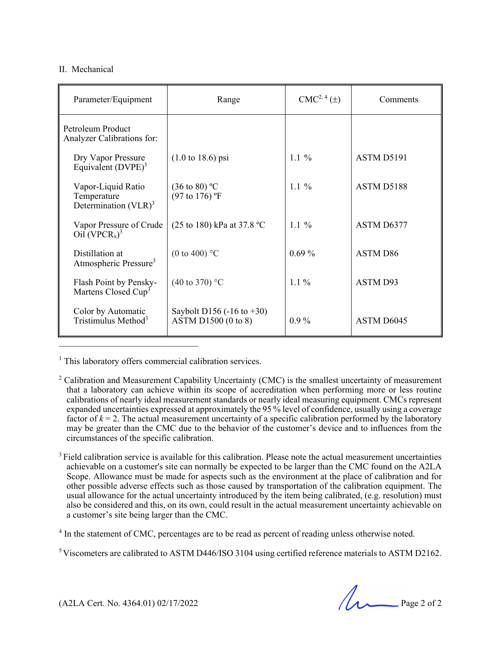#### II. Mechanical

| Parameter/Equipment                                                                  | Range                                                 | $CMC2, 4(\pm)$ | Comments   |
|--------------------------------------------------------------------------------------|-------------------------------------------------------|----------------|------------|
| Petroleum Product<br>Analyzer Calibrations for:                                      |                                                       |                |            |
| Dry Vapor Pressure<br>Equivalent (DVPE) <sup>3</sup>                                 | $(1.0 \text{ to } 18.6) \text{ psi}$                  | $1.1 \%$       | ASTM D5191 |
| Vapor-Liquid Ratio<br>Temperature<br>Determination $(VLR)^3$                         | $(36 \text{ to } 80)$ °C<br>$(97 \text{ to } 176)$ °F | $1.1\%$        | ASTM D5188 |
| Vapor Pressure of Crude<br>$\overline{\text{Oil}}$ (VPCR <sub>x</sub> ) <sup>3</sup> | (25 to 180) kPa at 37.8 °C                            | 1.1 $%$        | ASTM D6377 |
| Distillation at<br>Atmospheric Pressure <sup>3</sup>                                 | (0 to 400) $\degree$ C                                | $0.69\%$       | ASTM D86   |
| Flash Point by Pensky-<br>Martens Closed Cup <sup>3</sup>                            | $(40 \text{ to } 370)$ °C                             | $1.1\%$        | ASTM D93   |
| Color by Automatic<br>Tristimulus Method <sup>3</sup>                                | Saybolt D156 (-16 to $+30$ )<br>ASTM D1500 (0 to 8)   | $0.9\%$        | ASTM D6045 |

<sup>1</sup> This laboratory offers commercial calibration services.

 $\mathcal{L}_\text{max}$ 

<sup>3</sup> Field calibration service is available for this calibration. Please note the actual measurement uncertainties achievable on a customer's site can normally be expected to be larger than the CMC found on the A2LA Scope. Allowance must be made for aspects such as the environment at the place of calibration and for other possible adverse effects such as those caused by transportation of the calibration equipment. The usual allowance for the actual uncertainty introduced by the item being calibrated, (e.g. resolution) must also be considered and this, on its own, could result in the actual measurement uncertainty achievable on a customer's site being larger than the CMC.

<sup>4</sup> In the statement of CMC, percentages are to be read as percent of reading unless otherwise noted.

<sup>5</sup> Viscometers are calibrated to ASTM D446/ISO 3104 using certified reference materials to ASTM D2162.

(A2LA Cert. No. 4364.01) 02/17/2022 Page 2 of 2

 $2^2$  Calibration and Measurement Capability Uncertainty (CMC) is the smallest uncertainty of measurement that a laboratory can achieve within its scope of accreditation when performing more or less routine calibrations of nearly ideal measurement standards or nearly ideal measuring equipment. CMCs represent expanded uncertainties expressed at approximately the 95 % level of confidence, usually using a coverage factor of  $k = 2$ . The actual measurement uncertainty of a specific calibration performed by the laboratory may be greater than the CMC due to the behavior of the customer's device and to influences from the circumstances of the specific calibration.